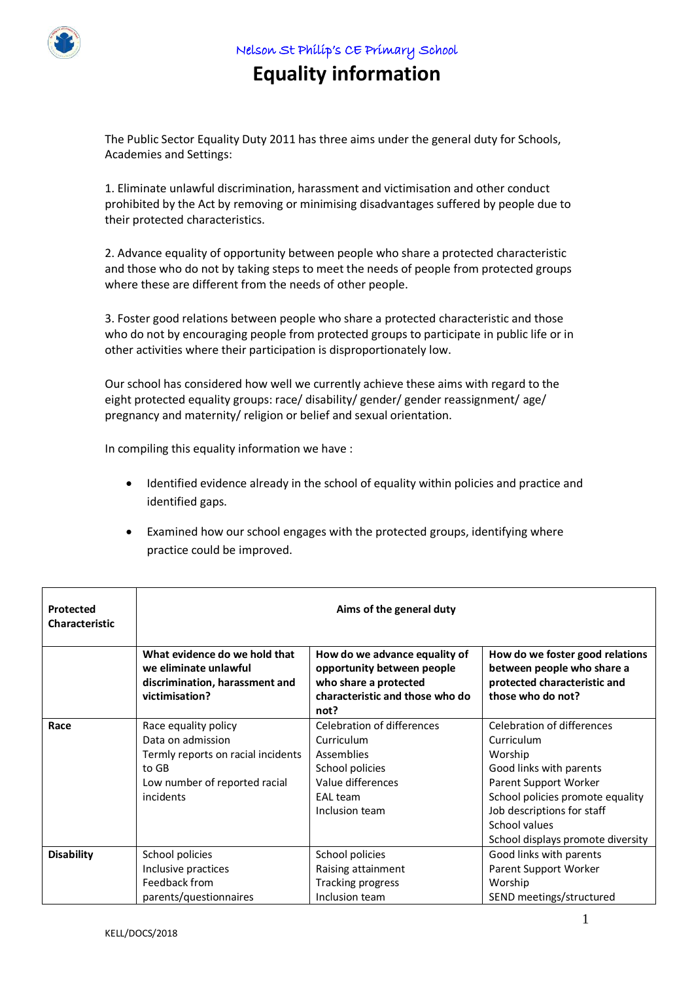

Nelson St Philip's CE Primary School

## **Equality information**

The Public Sector Equality Duty 2011 has three aims under the general duty for Schools, Academies and Settings:

1. Eliminate unlawful discrimination, harassment and victimisation and other conduct prohibited by the Act by removing or minimising disadvantages suffered by people due to their protected characteristics.

2. Advance equality of opportunity between people who share a protected characteristic and those who do not by taking steps to meet the needs of people from protected groups where these are different from the needs of other people.

3. Foster good relations between people who share a protected characteristic and those who do not by encouraging people from protected groups to participate in public life or in other activities where their participation is disproportionately low.

Our school has considered how well we currently achieve these aims with regard to the eight protected equality groups: race/ disability/ gender/ gender reassignment/ age/ pregnancy and maternity/ religion or belief and sexual orientation.

In compiling this equality information we have :

- Identified evidence already in the school of equality within policies and practice and identified gaps.
- Examined how our school engages with the protected groups, identifying where practice could be improved.

| Protected<br><b>Characteristic</b> | Aims of the general duty                                                                                                               |                                                                                                                                 |                                                                                                                                                                                                                                 |  |
|------------------------------------|----------------------------------------------------------------------------------------------------------------------------------------|---------------------------------------------------------------------------------------------------------------------------------|---------------------------------------------------------------------------------------------------------------------------------------------------------------------------------------------------------------------------------|--|
|                                    | What evidence do we hold that<br>we eliminate unlawful<br>discrimination, harassment and<br>victimisation?                             | How do we advance equality of<br>opportunity between people<br>who share a protected<br>characteristic and those who do<br>not? | How do we foster good relations<br>between people who share a<br>protected characteristic and<br>those who do not?                                                                                                              |  |
| Race                               | Race equality policy<br>Data on admission<br>Termly reports on racial incidents<br>to GB<br>Low number of reported racial<br>incidents | Celebration of differences<br>Curriculum<br>Assemblies<br>School policies<br>Value differences<br>EAL team<br>Inclusion team    | Celebration of differences<br>Curriculum<br>Worship<br>Good links with parents<br>Parent Support Worker<br>School policies promote equality<br>Job descriptions for staff<br>School values<br>School displays promote diversity |  |
| <b>Disability</b>                  | School policies<br>Inclusive practices<br>Feedback from<br>parents/questionnaires                                                      | School policies<br>Raising attainment<br>Tracking progress<br>Inclusion team                                                    | Good links with parents<br>Parent Support Worker<br>Worship<br>SEND meetings/structured                                                                                                                                         |  |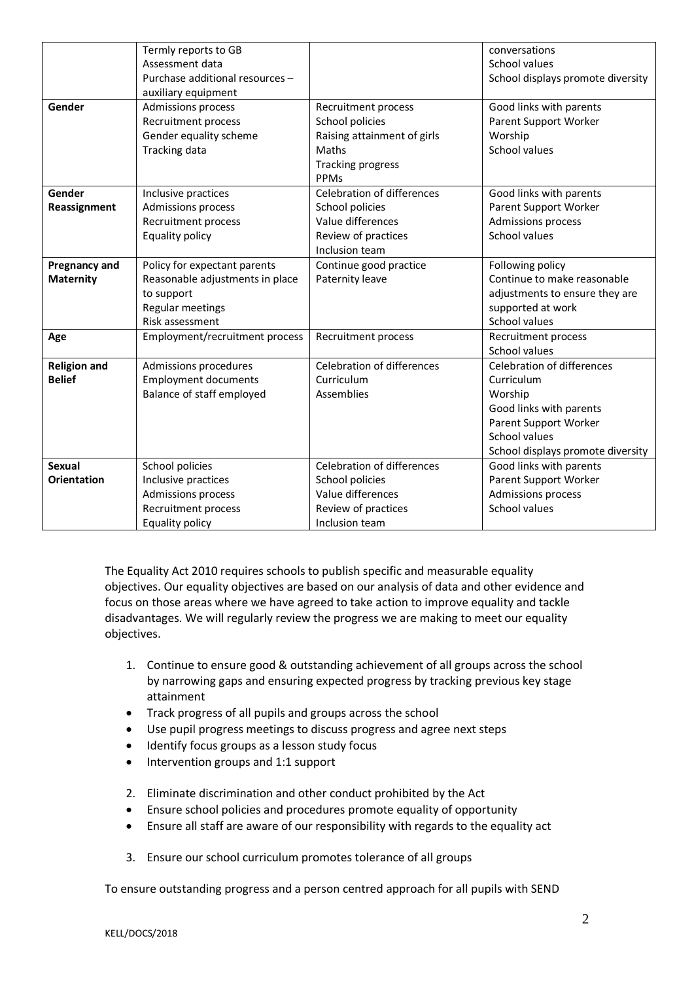|                      | Termly reports to GB            |                                   | conversations                     |
|----------------------|---------------------------------|-----------------------------------|-----------------------------------|
|                      | Assessment data                 |                                   | School values                     |
|                      | Purchase additional resources - |                                   | School displays promote diversity |
|                      | auxiliary equipment             |                                   |                                   |
| Gender               | <b>Admissions process</b>       | Recruitment process               | Good links with parents           |
|                      | Recruitment process             | School policies                   | Parent Support Worker             |
|                      | Gender equality scheme          | Raising attainment of girls       | Worship                           |
|                      | Tracking data                   | Maths                             | School values                     |
|                      |                                 | <b>Tracking progress</b>          |                                   |
|                      |                                 | PPMs                              |                                   |
| Gender               | Inclusive practices             | <b>Celebration of differences</b> | Good links with parents           |
| Reassignment         | Admissions process              | School policies                   | Parent Support Worker             |
|                      | Recruitment process             | Value differences                 | Admissions process                |
|                      | Equality policy                 | Review of practices               | School values                     |
|                      |                                 | Inclusion team                    |                                   |
| <b>Pregnancy and</b> | Policy for expectant parents    | Continue good practice            | Following policy                  |
| <b>Maternity</b>     | Reasonable adjustments in place | Paternity leave                   | Continue to make reasonable       |
|                      | to support                      |                                   | adjustments to ensure they are    |
|                      | Regular meetings                |                                   | supported at work                 |
|                      | Risk assessment                 |                                   | School values                     |
| Age                  | Employment/recruitment process  | Recruitment process               | Recruitment process               |
|                      |                                 |                                   | School values                     |
| <b>Religion and</b>  | Admissions procedures           | <b>Celebration of differences</b> | <b>Celebration of differences</b> |
| <b>Belief</b>        | <b>Employment documents</b>     | Curriculum                        | Curriculum                        |
|                      | Balance of staff employed       | Assemblies                        | Worship                           |
|                      |                                 |                                   | Good links with parents           |
|                      |                                 |                                   | Parent Support Worker             |
|                      |                                 |                                   | School values                     |
|                      |                                 |                                   | School displays promote diversity |
| <b>Sexual</b>        | School policies                 | <b>Celebration of differences</b> | Good links with parents           |
| <b>Orientation</b>   | Inclusive practices             | School policies                   | Parent Support Worker             |
|                      | <b>Admissions process</b>       | Value differences                 | Admissions process                |
|                      | Recruitment process             | Review of practices               | School values                     |
|                      | Equality policy                 | Inclusion team                    |                                   |

The Equality Act 2010 requires schools to publish specific and measurable equality objectives. Our equality objectives are based on our analysis of data and other evidence and focus on those areas where we have agreed to take action to improve equality and tackle disadvantages. We will regularly review the progress we are making to meet our equality objectives.

- 1. Continue to ensure good & outstanding achievement of all groups across the school by narrowing gaps and ensuring expected progress by tracking previous key stage attainment
- Track progress of all pupils and groups across the school
- Use pupil progress meetings to discuss progress and agree next steps
- Identify focus groups as a lesson study focus
- $\bullet$  Intervention groups and 1:1 support
- 2. Eliminate discrimination and other conduct prohibited by the Act
- Ensure school policies and procedures promote equality of opportunity
- Ensure all staff are aware of our responsibility with regards to the equality act
- 3. Ensure our school curriculum promotes tolerance of all groups

To ensure outstanding progress and a person centred approach for all pupils with SEND